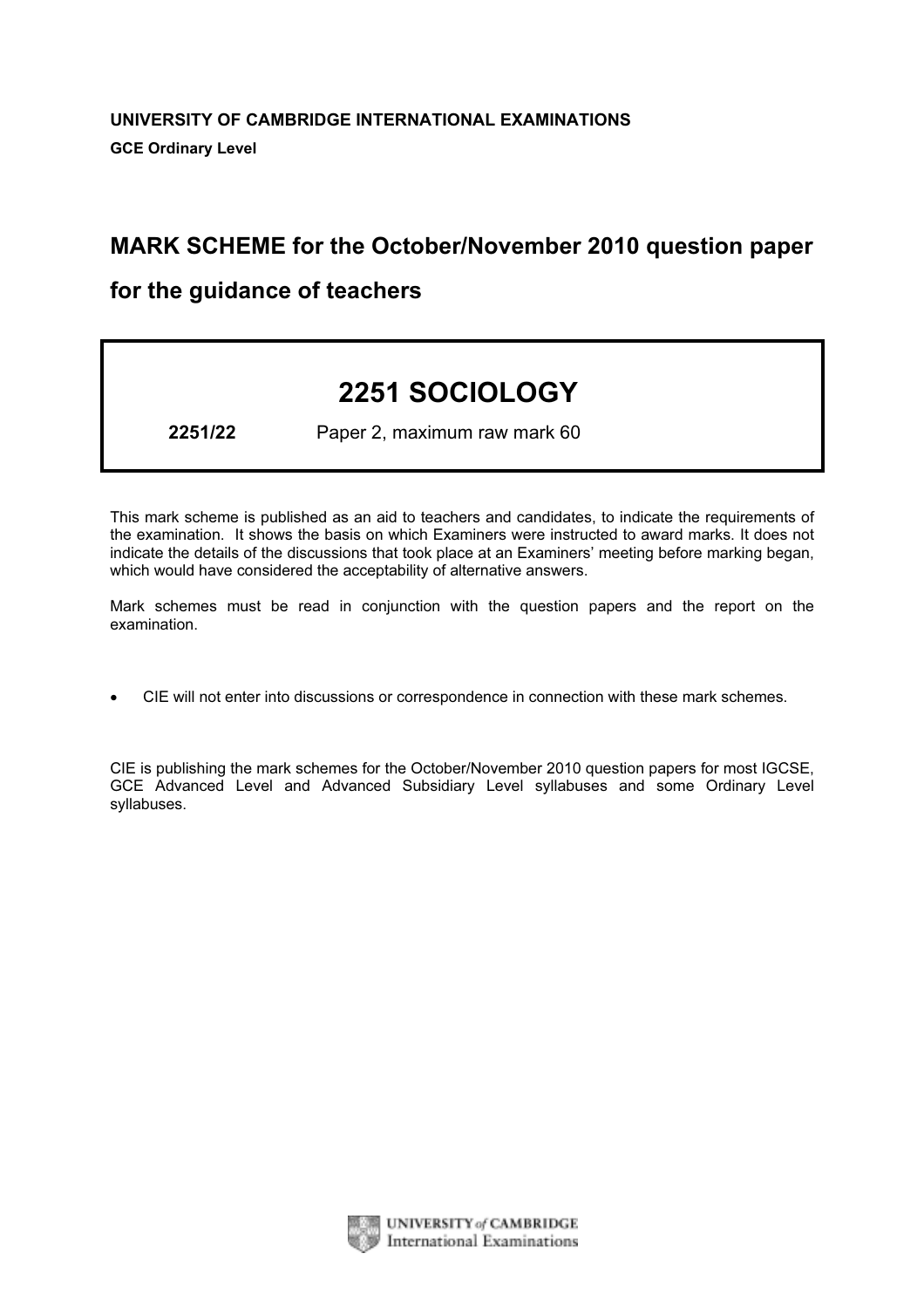# MARK SCHEME for the October/November 2010 question paper

# for the guidance of teachers

# 2251 SOCIOLOGY

2251/22 Paper 2, maximum raw mark 60

This mark scheme is published as an aid to teachers and candidates, to indicate the requirements of the examination. It shows the basis on which Examiners were instructed to award marks. It does not indicate the details of the discussions that took place at an Examiners' meeting before marking began, which would have considered the acceptability of alternative answers.

Mark schemes must be read in conjunction with the question papers and the report on the examination.

*•* CIE will not enter into discussions or correspondence in connection with these mark schemes.

CIE is publishing the mark schemes for the October/November 2010 question papers for most IGCSE, GCE Advanced Level and Advanced Subsidiary Level syllabuses and some Ordinary Level syllabuses.



UNIVERSITY of CAMBRIDGE **International Examinations**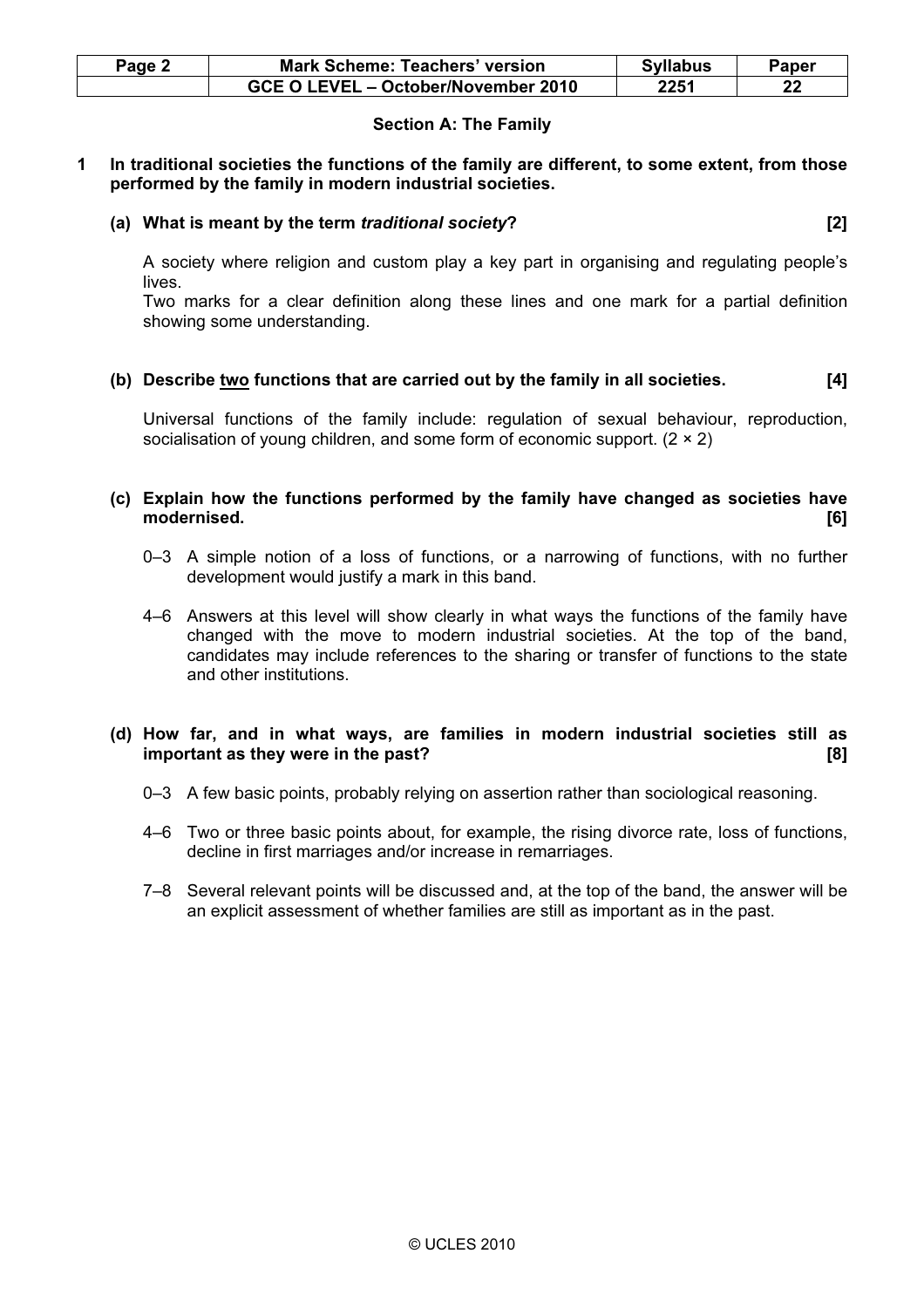| Page 2 | Mark Scheme: Teachers' version      | <b>Syllabus</b> | Paper |
|--------|-------------------------------------|-----------------|-------|
|        | GCE O LEVEL - October/November 2010 | 2251            | 22    |

# Section A: The Family

# 1 In traditional societies the functions of the family are different, to some extent, from those performed by the family in modern industrial societies.

# (a) What is meant by the term traditional society? [2]

 A society where religion and custom play a key part in organising and regulating people's lives.

 Two marks for a clear definition along these lines and one mark for a partial definition showing some understanding.

# (b) Describe  $\underline{two}$  functions that are carried out by the family in all societies.  $[4]$

 Universal functions of the family include: regulation of sexual behaviour, reproduction, socialisation of young children, and some form of economic support.  $(2 \times 2)$ 

## (c) Explain how the functions performed by the family have changed as societies have modernised. [6]

- 0–3 A simple notion of a loss of functions, or a narrowing of functions, with no further development would justify a mark in this band.
- 4–6 Answers at this level will show clearly in what ways the functions of the family have changed with the move to modern industrial societies. At the top of the band, candidates may include references to the sharing or transfer of functions to the state and other institutions.

# (d) How far, and in what ways, are families in modern industrial societies still as important as they were in the past? In the state of the state of the state of the state of the state of the state of the state of the state of the state of the state of the state of the state of the state of the state of t

- 0–3 A few basic points, probably relying on assertion rather than sociological reasoning.
- 4–6 Two or three basic points about, for example, the rising divorce rate, loss of functions, decline in first marriages and/or increase in remarriages.
- 7–8 Several relevant points will be discussed and, at the top of the band, the answer will be an explicit assessment of whether families are still as important as in the past.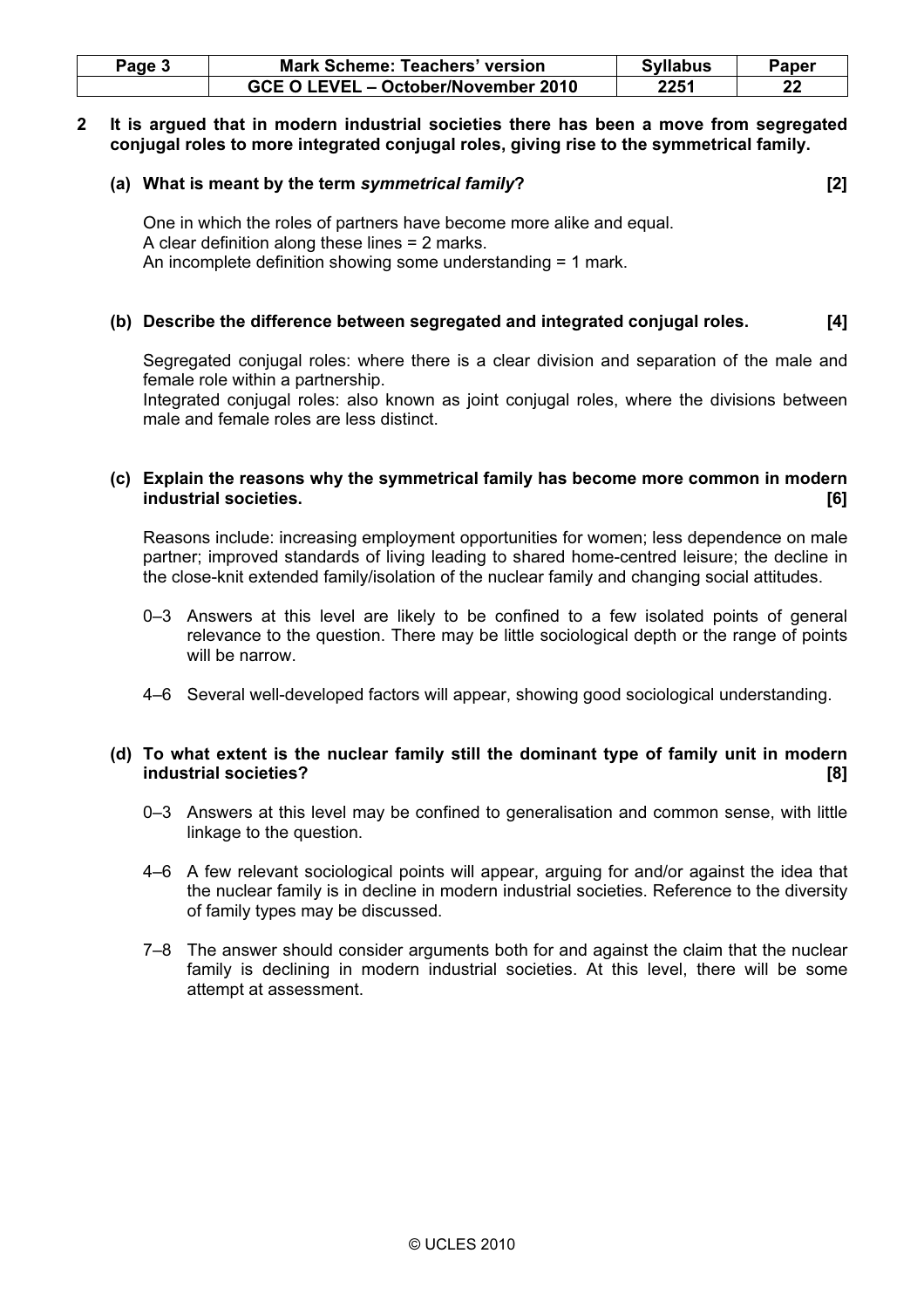| Page 3 | <b>Mark Scheme: Teachers' version</b> | <b>Syllabus</b> | Paper |
|--------|---------------------------------------|-----------------|-------|
|        | GCE O LEVEL - October/November 2010   | 2251            | 22    |

## 2 It is argued that in modern industrial societies there has been a move from segregated conjugal roles to more integrated conjugal roles, giving rise to the symmetrical family.

#### (a) What is meant by the term symmetrical family? [2]

 One in which the roles of partners have become more alike and equal. A clear definition along these lines = 2 marks. An incomplete definition showing some understanding = 1 mark.

# (b) Describe the difference between segregated and integrated conjugal roles. [4]

 Segregated conjugal roles: where there is a clear division and separation of the male and female role within a partnership.

 Integrated conjugal roles: also known as joint conjugal roles, where the divisions between male and female roles are less distinct.

# (c) Explain the reasons why the symmetrical family has become more common in modern industrial societies. [6]

 Reasons include: increasing employment opportunities for women; less dependence on male partner; improved standards of living leading to shared home-centred leisure; the decline in the close-knit extended family/isolation of the nuclear family and changing social attitudes.

- 0–3 Answers at this level are likely to be confined to a few isolated points of general relevance to the question. There may be little sociological depth or the range of points will be narrow
- 4–6 Several well-developed factors will appear, showing good sociological understanding.

# (d) To what extent is the nuclear family still the dominant type of family unit in modern industrial societies? [8]

- 0–3 Answers at this level may be confined to generalisation and common sense, with little linkage to the question.
- 4–6 A few relevant sociological points will appear, arguing for and/or against the idea that the nuclear family is in decline in modern industrial societies. Reference to the diversity of family types may be discussed.
- 7–8 The answer should consider arguments both for and against the claim that the nuclear family is declining in modern industrial societies. At this level, there will be some attempt at assessment.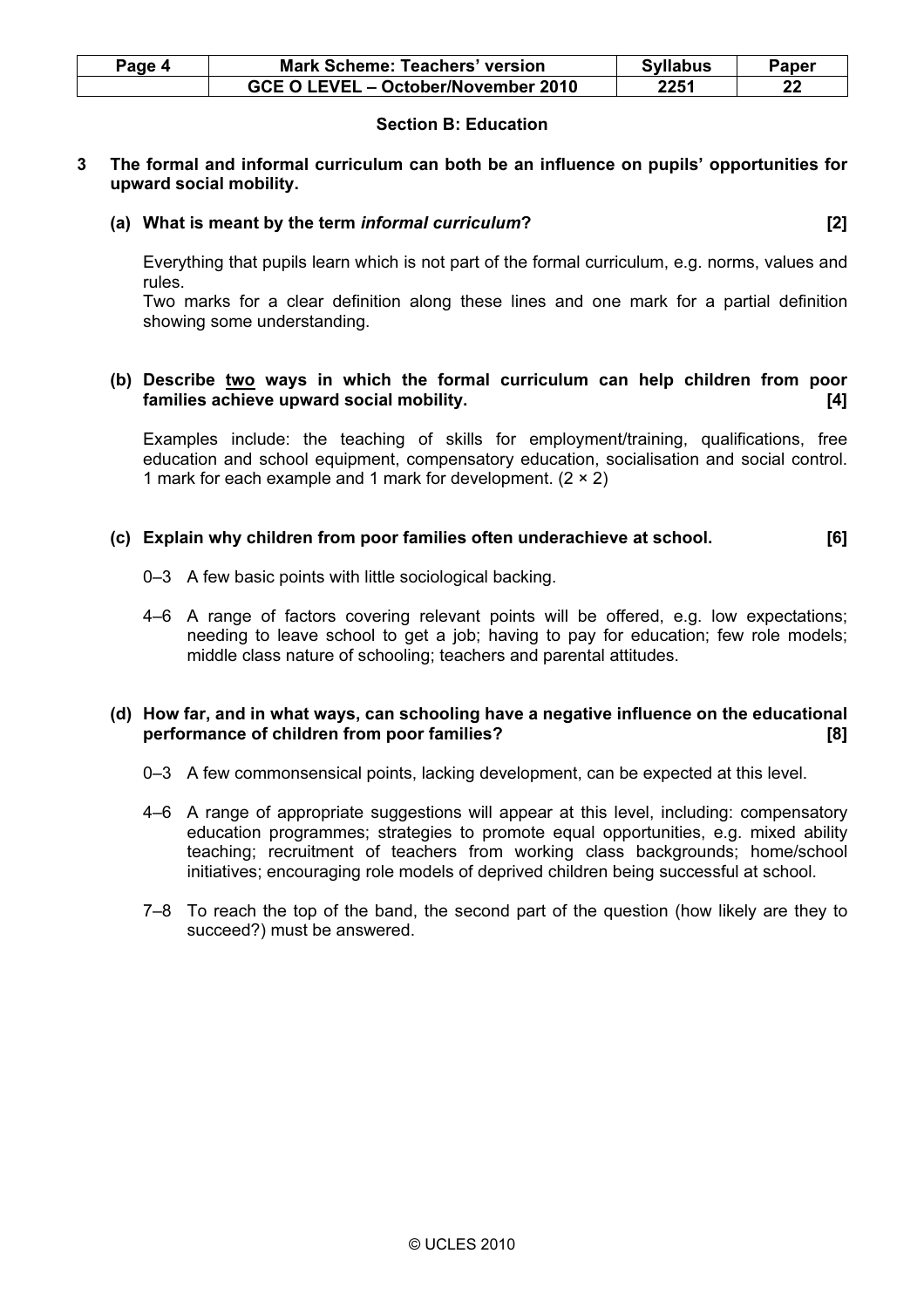| Paqe 4 | <b>Mark Scheme: Teachers' version</b> | <b>Syllabus</b> | Paper |
|--------|---------------------------------------|-----------------|-------|
|        | GCE O LEVEL – October/November 2010   | 2251            | っっ    |

# Section B: Education

## 3 The formal and informal curriculum can both be an influence on pupils' opportunities for upward social mobility.

# (a) What is meant by the term informal curriculum? [2]

 Everything that pupils learn which is not part of the formal curriculum, e.g. norms, values and rules.

 Two marks for a clear definition along these lines and one mark for a partial definition showing some understanding.

#### (b) Describe two ways in which the formal curriculum can help children from poor families achieve upward social mobility. [4]

 Examples include: the teaching of skills for employment/training, qualifications, free education and school equipment, compensatory education, socialisation and social control. 1 mark for each example and 1 mark for development.  $(2 \times 2)$ 

## (c) Explain why children from poor families often underachieve at school. [6]

- 0–3 A few basic points with little sociological backing.
- 4–6 A range of factors covering relevant points will be offered, e.g. low expectations; needing to leave school to get a job; having to pay for education; few role models; middle class nature of schooling; teachers and parental attitudes.

## (d) How far, and in what ways, can schooling have a negative influence on the educational performance of children from poor families? [8]

- 0–3 A few commonsensical points, lacking development, can be expected at this level.
- 4–6 A range of appropriate suggestions will appear at this level, including: compensatory education programmes; strategies to promote equal opportunities, e.g. mixed ability teaching; recruitment of teachers from working class backgrounds; home/school initiatives; encouraging role models of deprived children being successful at school.
- 7–8 To reach the top of the band, the second part of the question (how likely are they to succeed?) must be answered.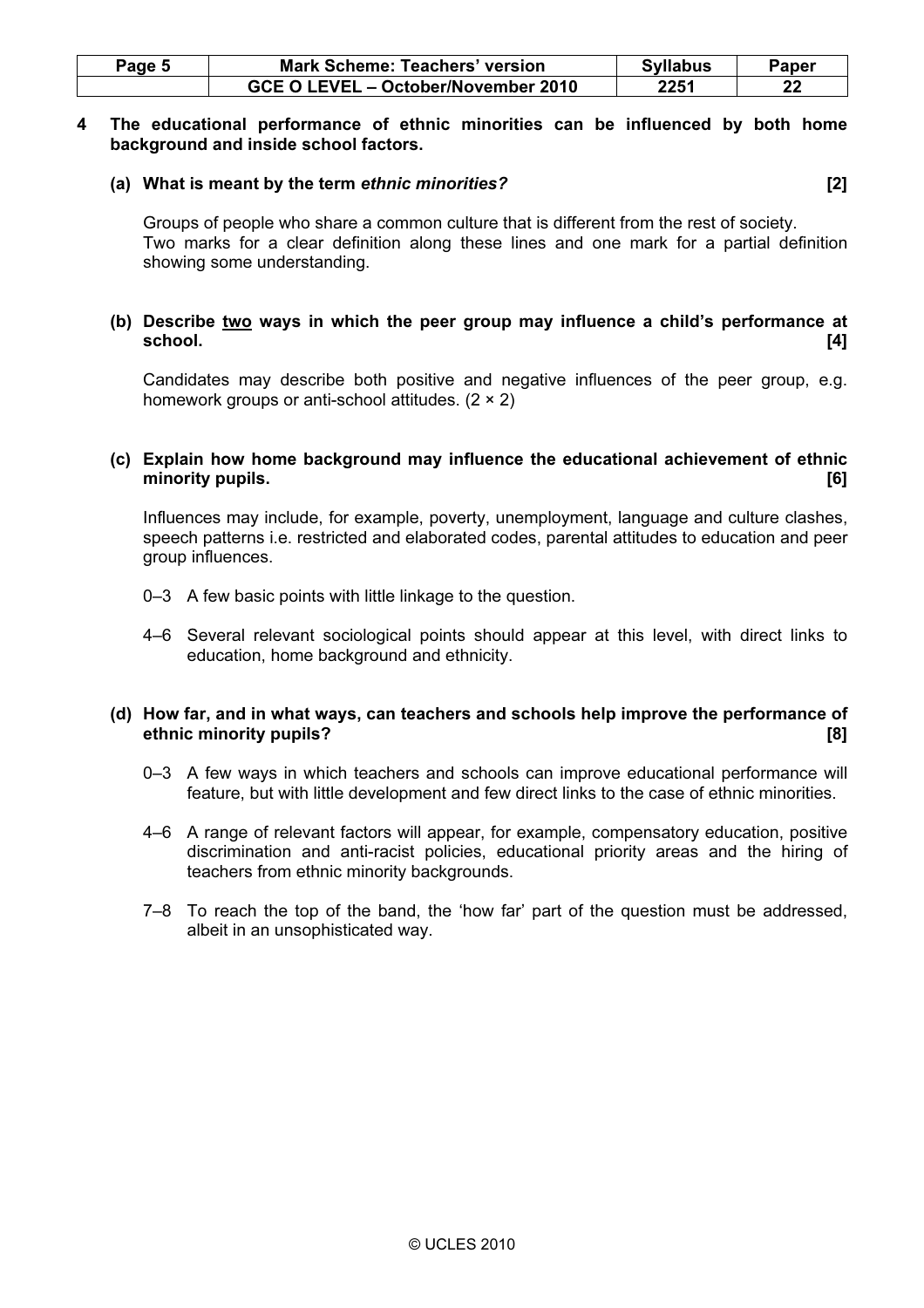| Page 5 | <b>Mark Scheme: Teachers' version</b> | <b>Syllabus</b> | Paper |
|--------|---------------------------------------|-----------------|-------|
|        | GCE O LEVEL - October/November 2010   | 2251            | າາ    |

#### 4 The educational performance of ethnic minorities can be influenced by both home background and inside school factors.

## (a) What is meant by the term ethnic minorities? [2]

 Groups of people who share a common culture that is different from the rest of society. Two marks for a clear definition along these lines and one mark for a partial definition showing some understanding.

# (b) Describe two ways in which the peer group may influence a child's performance at school. [4]

 Candidates may describe both positive and negative influences of the peer group, e.g. homework groups or anti-school attitudes. (2 × 2)

# (c) Explain how home background may influence the educational achievement of ethnic minority pupils. [6]

 Influences may include, for example, poverty, unemployment, language and culture clashes, speech patterns i.e. restricted and elaborated codes, parental attitudes to education and peer group influences.

- 0–3 A few basic points with little linkage to the question.
- 4–6 Several relevant sociological points should appear at this level, with direct links to education, home background and ethnicity.

# (d) How far, and in what ways, can teachers and schools help improve the performance of ethnic minority pupils? [8] **Example 2018 Example 2018 CONS EXAMPLE 2018 CONS EXAMPLE 2019 CONS EXAMPLE 2019 CONS EXAMPLE 2019 CONS EXAMPLE 2019 CONS EXAMPLE 2019 CONS EXAMPLE 2019 CONS CO**

- 0–3 A few ways in which teachers and schools can improve educational performance will feature, but with little development and few direct links to the case of ethnic minorities.
- 4–6 A range of relevant factors will appear, for example, compensatory education, positive discrimination and anti-racist policies, educational priority areas and the hiring of teachers from ethnic minority backgrounds.
- 7–8 To reach the top of the band, the 'how far' part of the question must be addressed, albeit in an unsophisticated way.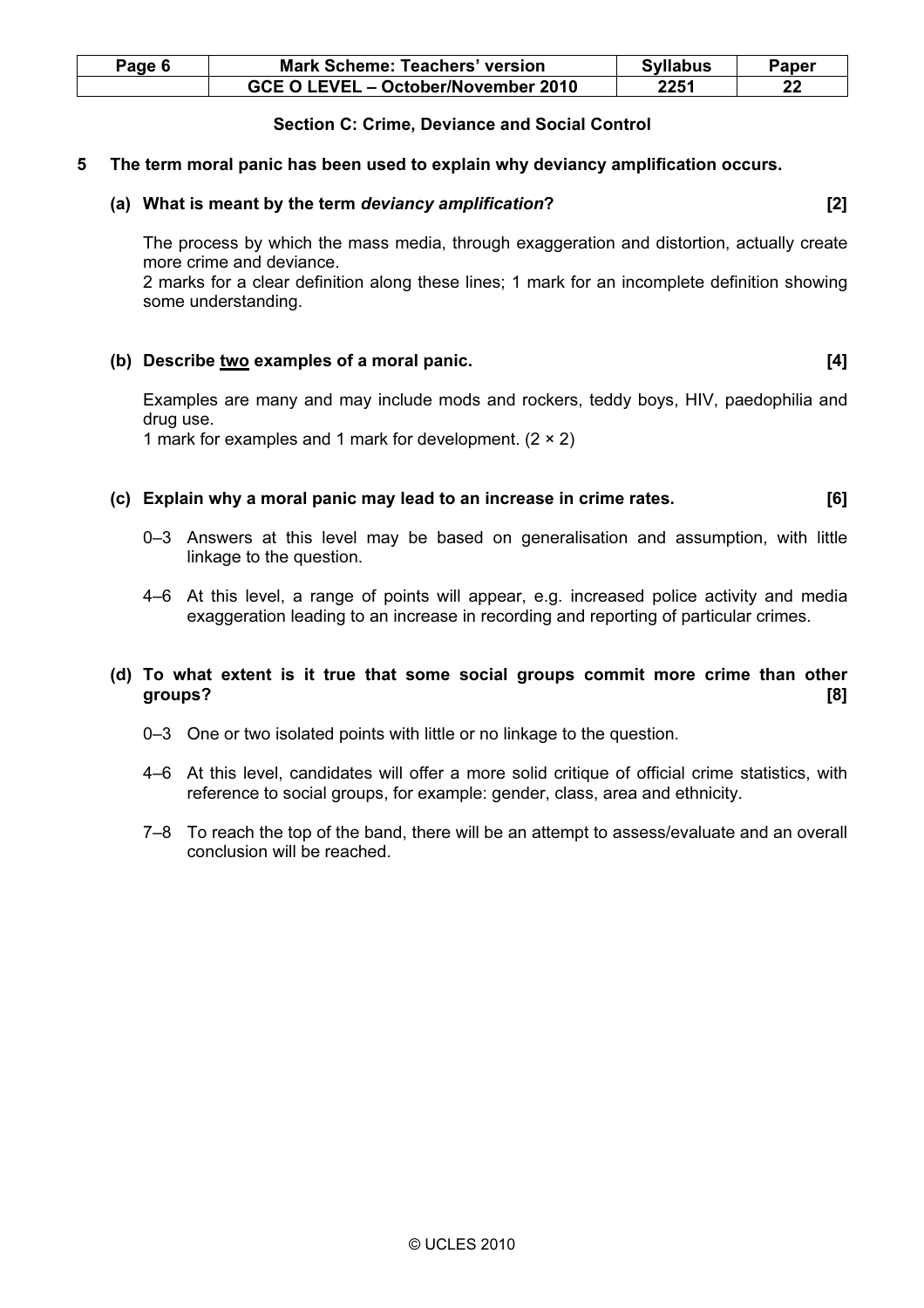| Page 6 | <b>Mark Scheme: Teachers' version</b> | <b>Syllabus</b> | Paper |
|--------|---------------------------------------|-----------------|-------|
|        | GCE O LEVEL – October/November 2010   | 2251            | 22    |

# Section C: Crime, Deviance and Social Control

#### 5 The term moral panic has been used to explain why deviancy amplification occurs.

#### (a) What is meant by the term deviancy amplification? [2]

 The process by which the mass media, through exaggeration and distortion, actually create more crime and deviance.

 2 marks for a clear definition along these lines; 1 mark for an incomplete definition showing some understanding.

# (b) Describe  $\underline{\text{two}}$  examples of a moral panic.  $[4]$

 Examples are many and may include mods and rockers, teddy boys, HIV, paedophilia and drug use.

1 mark for examples and 1 mark for development.  $(2 \times 2)$ 

## (c) Explain why a moral panic may lead to an increase in crime rates. [6]

- 0–3 Answers at this level may be based on generalisation and assumption, with little linkage to the question.
- 4–6 At this level, a range of points will appear, e.g. increased police activity and media exaggeration leading to an increase in recording and reporting of particular crimes.

# (d) To what extent is it true that some social groups commit more crime than other groups? [8]

- 0–3 One or two isolated points with little or no linkage to the question.
- 4–6 At this level, candidates will offer a more solid critique of official crime statistics, with reference to social groups, for example: gender, class, area and ethnicity.
- 7–8 To reach the top of the band, there will be an attempt to assess/evaluate and an overall conclusion will be reached.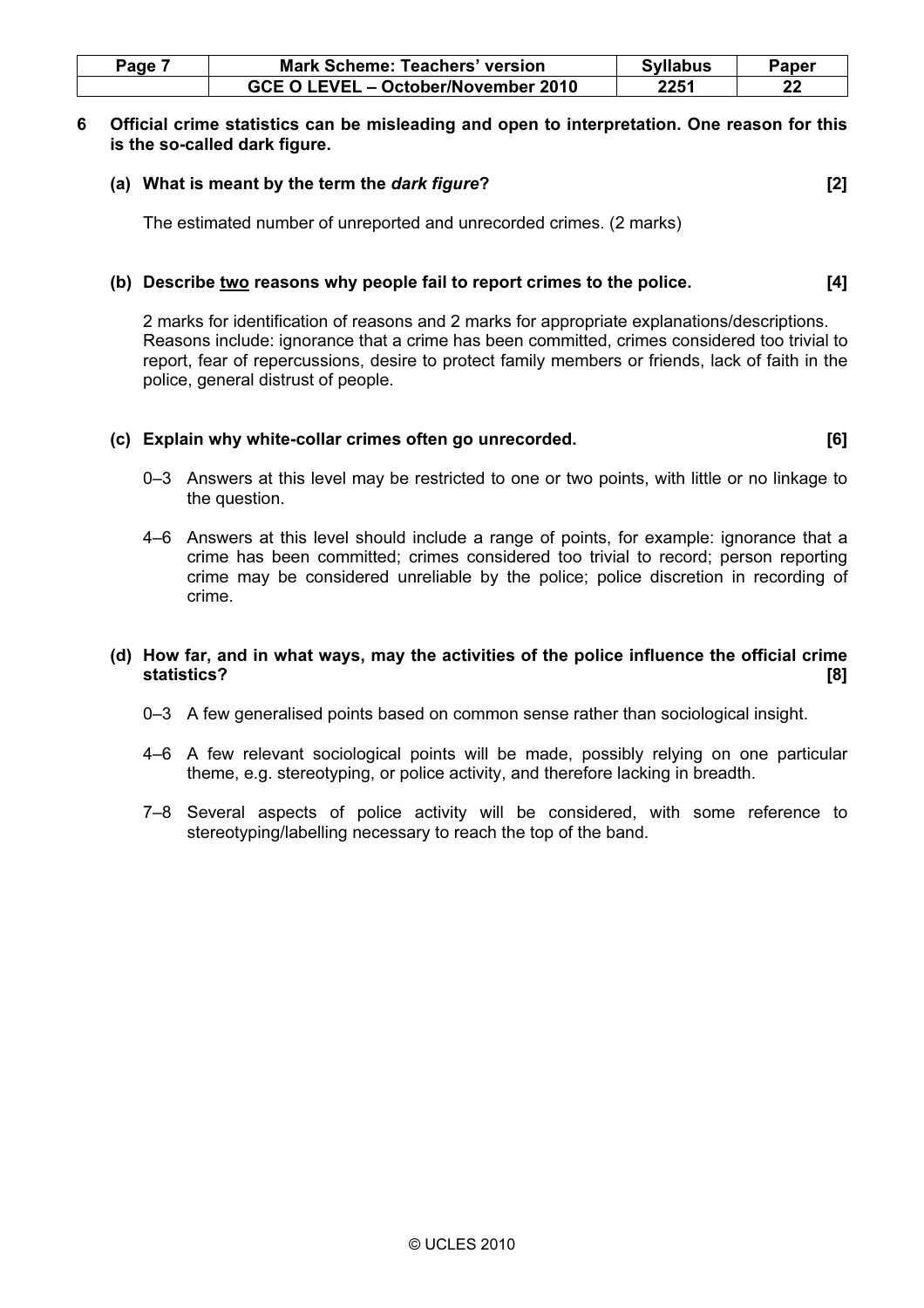| Page | <b>Mark Scheme: Teachers' version</b> | <b>Syllabus</b> | Paper |
|------|---------------------------------------|-----------------|-------|
|      | GCE O LEVEL - October/November 2010   | 2251            | 22    |

## 6 Official crime statistics can be misleading and open to interpretation. One reason for this is the so-called dark figure.

# (a) What is meant by the term the dark figure? [2]

The estimated number of unreported and unrecorded crimes. (2 marks)

# (b) Describe two reasons why people fail to report crimes to the police. [4]

 2 marks for identification of reasons and 2 marks for appropriate explanations/descriptions. Reasons include: ignorance that a crime has been committed, crimes considered too trivial to report, fear of repercussions, desire to protect family members or friends, lack of faith in the police, general distrust of people.

#### (c) Explain why white-collar crimes often go unrecorded. [6]

- 0–3 Answers at this level may be restricted to one or two points, with little or no linkage to the question.
- 4–6 Answers at this level should include a range of points, for example: ignorance that a crime has been committed; crimes considered too trivial to record; person reporting crime may be considered unreliable by the police; police discretion in recording of crime.

#### (d) How far, and in what ways, may the activities of the police influence the official crime statistics? [8]

- 0–3 A few generalised points based on common sense rather than sociological insight.
- 4–6 A few relevant sociological points will be made, possibly relying on one particular theme, e.g. stereotyping, or police activity, and therefore lacking in breadth.
- 7–8 Several aspects of police activity will be considered, with some reference to stereotyping/labelling necessary to reach the top of the band.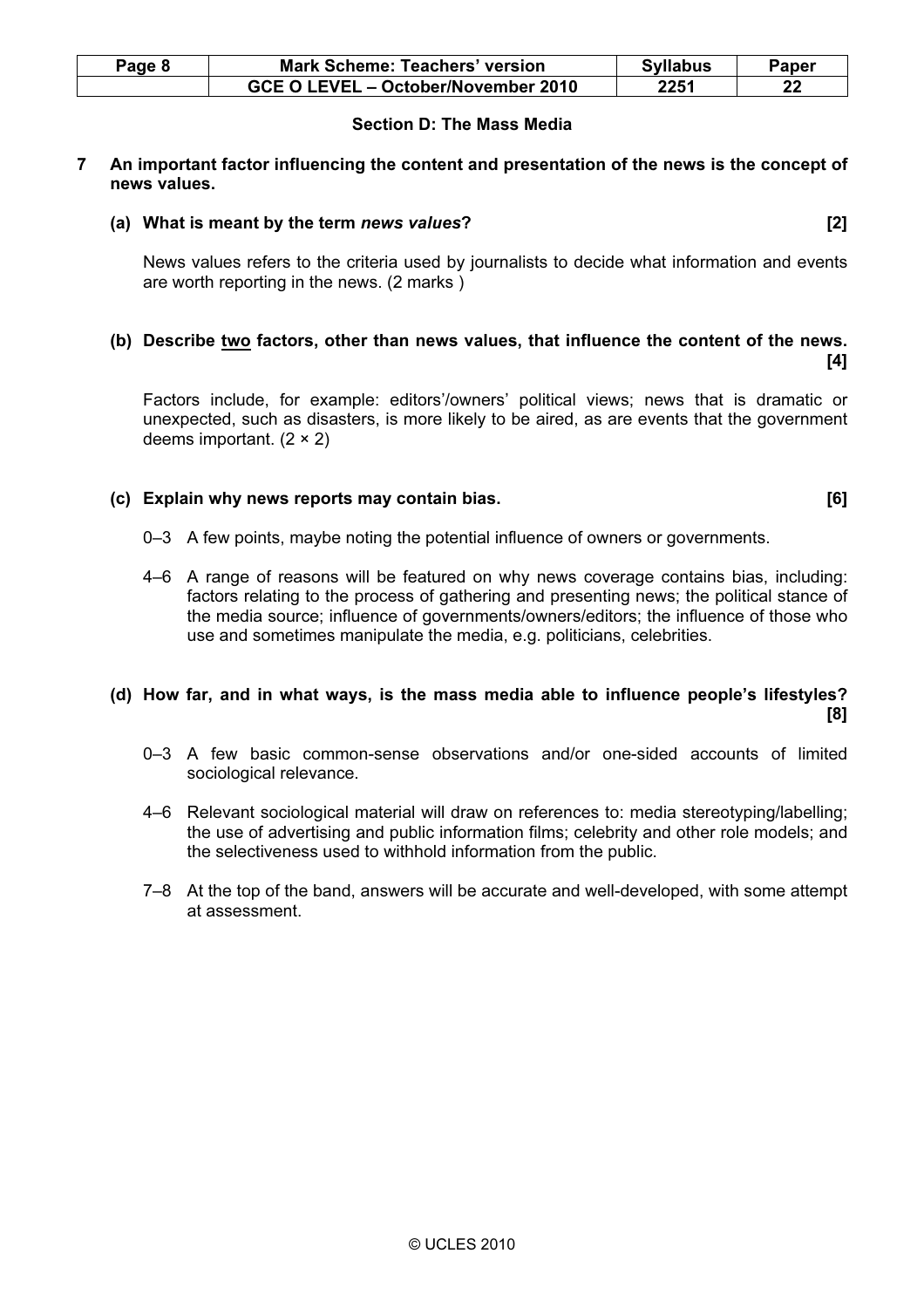| Page 8 | <b>Mark Scheme: Teachers' version</b> | <b>Syllabus</b> | Paper |
|--------|---------------------------------------|-----------------|-------|
|        | GCE O LEVEL - October/November 2010   | 2251            | 22    |

# Section D: The Mass Media

## 7 An important factor influencing the content and presentation of the news is the concept of news values.

#### (a) What is meant by the term news values? [2]

 News values refers to the criteria used by journalists to decide what information and events are worth reporting in the news. (2 marks )

## (b) Describe two factors, other than news values, that influence the content of the news.  $[4]$

 Factors include, for example: editors'/owners' political views; news that is dramatic or unexpected, such as disasters, is more likely to be aired, as are events that the government deems important.  $(2 \times 2)$ 

## (c) Explain why news reports may contain bias. [6]

- 0–3 A few points, maybe noting the potential influence of owners or governments.
- 4–6 A range of reasons will be featured on why news coverage contains bias, including: factors relating to the process of gathering and presenting news; the political stance of the media source; influence of governments/owners/editors; the influence of those who use and sometimes manipulate the media, e.g. politicians, celebrities.

## (d) How far, and in what ways, is the mass media able to influence people's lifestyles? [8]

- 0–3 A few basic common-sense observations and/or one-sided accounts of limited sociological relevance.
- 4–6 Relevant sociological material will draw on references to: media stereotyping/labelling; the use of advertising and public information films; celebrity and other role models; and the selectiveness used to withhold information from the public.
- 7–8 At the top of the band, answers will be accurate and well-developed, with some attempt at assessment.